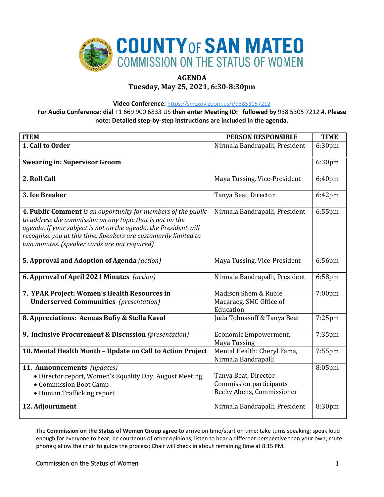

# **AGENDA**

# **Tuesday, May 25, 2021, 6:30-8:30pm**

**Video Conference:** <https://smcgov.zoom.us/j/93853057212>

**For Audio Conference: dial** +1 669 900 6833 US **then enter Meeting ID: followed by** 938 5305 7212 **#. Please note: Detailed step-by-step instructions are included in the agenda.**

| <b>ITEM</b>                                                                                                                                                                                                                                                                                                        | <b>PERSON RESPONSIBLE</b>                                                                                      | <b>TIME</b>        |
|--------------------------------------------------------------------------------------------------------------------------------------------------------------------------------------------------------------------------------------------------------------------------------------------------------------------|----------------------------------------------------------------------------------------------------------------|--------------------|
| 1. Call to Order                                                                                                                                                                                                                                                                                                   | Nirmala Bandrapalli, President                                                                                 | 6:30 <sub>pm</sub> |
| <b>Swearing in: Supervisor Groom</b>                                                                                                                                                                                                                                                                               |                                                                                                                | 6:30pm             |
| 2. Roll Call                                                                                                                                                                                                                                                                                                       | Maya Tussing, Vice-President                                                                                   | 6:40pm             |
| 3. Ice Breaker                                                                                                                                                                                                                                                                                                     | Tanya Beat, Director                                                                                           | 6:42pm             |
| 4. Public Comment is an opportunity for members of the public<br>to address the commission on any topic that is not on the<br>agenda. If your subject is not on the agenda, the President will<br>recognize you at this time. Speakers are customarily limited to<br>two minutes. (speaker cards are not required) | Nirmala Bandrapalli, President                                                                                 | 6:55pm             |
| 5. Approval and Adoption of Agenda (action)                                                                                                                                                                                                                                                                        | Maya Tussing, Vice-President                                                                                   | 6:56pm             |
| 6. Approval of April 2021 Minutes (action)                                                                                                                                                                                                                                                                         | Nirmala Bandrapalli, President                                                                                 | 6:58pm             |
| 7. YPAR Project: Women's Health Resources in<br><b>Underserved Communities</b> (presentation)                                                                                                                                                                                                                      | Madison Shem & Rubie<br>Macaraeg, SMC Office of<br>Education                                                   | $7:00$ pm          |
| 8. Appreciations: Aeneas Bufiy & Stella Kaval                                                                                                                                                                                                                                                                      | Juda Tolmasoff & Tanya Beat                                                                                    | $7:25$ pm          |
| 9. Inclusive Procurement & Discussion (presentation)                                                                                                                                                                                                                                                               | Economic Empowerment,<br><b>Maya Tussing</b>                                                                   | 7:35pm             |
| 10. Mental Health Month - Update on Call to Action Project                                                                                                                                                                                                                                                         | Mental Health: Cheryl Fama,<br>Nirmala Bandrapalli                                                             | $7:55$ pm          |
| 11. Announcements (updates)<br>• Director report, Women's Equality Day, August Meeting<br>• Commission Boot Camp<br>• Human Trafficking report<br>12. Adjournment                                                                                                                                                  | Tanya Beat, Director<br>Commission participants<br>Becky Abens, Commissioner<br>Nirmala Bandrapalli, President | 8:05pm<br>8:30pm   |
|                                                                                                                                                                                                                                                                                                                    |                                                                                                                |                    |

The **Commission on the Status of Women Group agree** to arrive on time/start on time; take turns speaking; speak loud enough for everyone to hear; be courteous of other opinions; listen to hear a different perspective than your own; mute phones; allow the chair to guide the process; Chair will check in about remaining time at 8:15 PM.